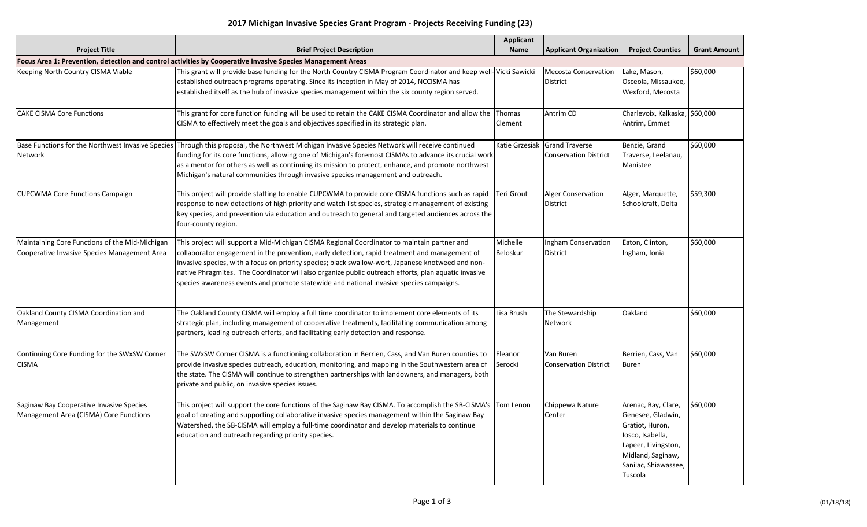|  | 2017 Michigan Invasive Species Grant Program - Projects Receiving Funding (23) |  |  |  |  |
|--|--------------------------------------------------------------------------------|--|--|--|--|
|--|--------------------------------------------------------------------------------|--|--|--|--|

| <b>Project Title</b>                                                                                        | <b>Brief Project Description</b>                                                                                                                                                                                                                                                                                                                                                                                                                                                                      | Applicant<br>Name           | <b>Applicant Organization</b>                         | <b>Project Counties</b>                                                                                                                                        | <b>Grant Amount</b> |  |
|-------------------------------------------------------------------------------------------------------------|-------------------------------------------------------------------------------------------------------------------------------------------------------------------------------------------------------------------------------------------------------------------------------------------------------------------------------------------------------------------------------------------------------------------------------------------------------------------------------------------------------|-----------------------------|-------------------------------------------------------|----------------------------------------------------------------------------------------------------------------------------------------------------------------|---------------------|--|
| Focus Area 1: Prevention, detection and control activities by Cooperative Invasive Species Management Areas |                                                                                                                                                                                                                                                                                                                                                                                                                                                                                                       |                             |                                                       |                                                                                                                                                                |                     |  |
| Keeping North Country CISMA Viable                                                                          | This grant will provide base funding for the North Country CISMA Program Coordinator and keep well-Vicki Sawicki<br>established outreach programs operating. Since its inception in May of 2014, NCCISMA has<br>established itself as the hub of invasive species management within the six county region served.                                                                                                                                                                                     |                             | <b>Mecosta Conservation</b><br><b>District</b>        | Lake, Mason,<br>Osceola, Missaukee,<br>Wexford, Mecosta                                                                                                        | \$60,000            |  |
| <b>CAKE CISMA Core Functions</b>                                                                            | This grant for core function funding will be used to retain the CAKE CISMA Coordinator and allow the<br>CISMA to effectively meet the goals and objectives specified in its strategic plan.                                                                                                                                                                                                                                                                                                           | Thomas<br>Clement           | Antrim CD                                             | Charlevoix, Kalkaska, \$60,000<br>Antrim, Emmet                                                                                                                |                     |  |
| Base Functions for the Northwest Invasive Species<br>Network                                                | Through this proposal, the Northwest Michigan Invasive Species Network will receive continued<br>funding for its core functions, allowing one of Michigan's foremost CISMAs to advance its crucial work<br>as a mentor for others as well as continuing its mission to protect, enhance, and promote northwest<br>Michigan's natural communities through invasive species management and outreach.                                                                                                    | Katie Grzesiak              | <b>Grand Traverse</b><br><b>Conservation District</b> | Benzie, Grand<br>Traverse, Leelanau,<br>Manistee                                                                                                               | \$60,000            |  |
| <b>CUPCWMA Core Functions Campaign</b>                                                                      | This project will provide staffing to enable CUPCWMA to provide core CISMA functions such as rapid<br>response to new detections of high priority and watch list species, strategic management of existing<br>key species, and prevention via education and outreach to general and targeted audiences across the<br>four-county region.                                                                                                                                                              | <b>Teri Grout</b>           | <b>Alger Conservation</b><br><b>District</b>          | Alger, Marquette,<br>Schoolcraft, Delta                                                                                                                        | \$59,300            |  |
| Maintaining Core Functions of the Mid-Michigan<br>Cooperative Invasive Species Management Area              | This project will support a Mid-Michigan CISMA Regional Coordinator to maintain partner and<br>collaborator engagement in the prevention, early detection, rapid treatment and management of<br>invasive species, with a focus on priority species; black swallow-wort, Japanese knotweed and non-<br>native Phragmites. The Coordinator will also organize public outreach efforts, plan aquatic invasive<br>species awareness events and promote statewide and national invasive species campaigns. | Michelle<br><b>Beloskur</b> | <b>Ingham Conservation</b><br><b>District</b>         | Eaton, Clinton,<br>Ingham, Ionia                                                                                                                               | \$60,000            |  |
| Oakland County CISMA Coordination and<br>Management                                                         | The Oakland County CISMA will employ a full time coordinator to implement core elements of its<br>strategic plan, including management of cooperative treatments, facilitating communication among<br>partners, leading outreach efforts, and facilitating early detection and response.                                                                                                                                                                                                              | Lisa Brush                  | The Stewardship<br>Network                            | Oakland                                                                                                                                                        | \$60,000            |  |
| Continuing Core Funding for the SWxSW Corner<br><b>CISMA</b>                                                | The SWxSW Corner CISMA is a functioning collaboration in Berrien, Cass, and Van Buren counties to<br>provide invasive species outreach, education, monitoring, and mapping in the Southwestern area of<br>the state. The CISMA will continue to strengthen partnerships with landowners, and managers, both<br>private and public, on invasive species issues.                                                                                                                                        | Eleanor<br>Serocki          | Van Buren<br><b>Conservation District</b>             | Berrien, Cass, Van<br>Buren                                                                                                                                    | \$60,000            |  |
| Saginaw Bay Cooperative Invasive Species<br>Management Area (CISMA) Core Functions                          | This project will support the core functions of the Saginaw Bay CISMA. To accomplish the SB-CISMA's<br>goal of creating and supporting collaborative invasive species management within the Saginaw Bay<br>Watershed, the SB-CISMA will employ a full-time coordinator and develop materials to continue<br>education and outreach regarding priority species.                                                                                                                                        | Tom Lenon                   | Chippewa Nature<br>Center                             | Arenac, Bay, Clare,<br>Genesee, Gladwin,<br>Gratiot, Huron,<br>losco, Isabella,<br>Lapeer, Livingston,<br>Midland, Saginaw,<br>Sanilac, Shiawassee,<br>Tuscola | \$60,000            |  |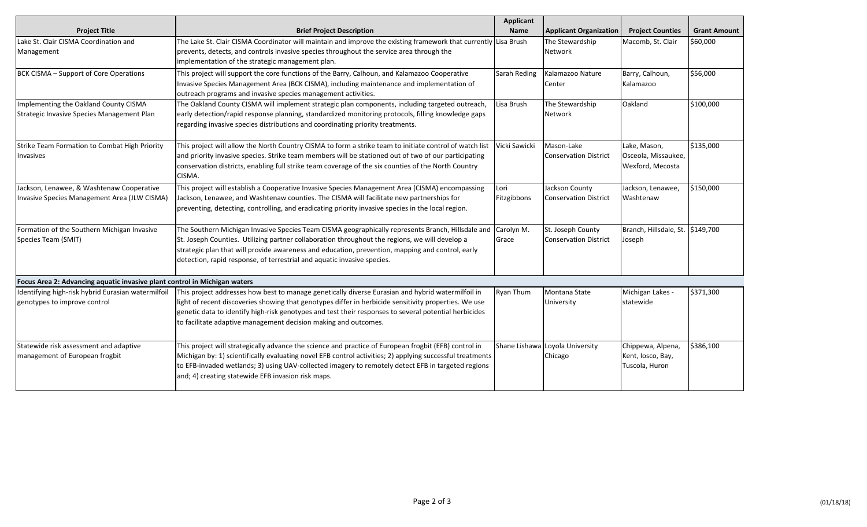|                                                                           |                                                                                                                 | <b>Applicant</b> |                                 |                                  |                     |
|---------------------------------------------------------------------------|-----------------------------------------------------------------------------------------------------------------|------------------|---------------------------------|----------------------------------|---------------------|
| <b>Project Title</b>                                                      | <b>Brief Project Description</b>                                                                                | <b>Name</b>      | <b>Applicant Organization</b>   | <b>Project Counties</b>          | <b>Grant Amount</b> |
| Lake St. Clair CISMA Coordination and                                     | The Lake St. Clair CISMA Coordinator will maintain and improve the existing framework that currently Lisa Brush |                  | The Stewardship                 | Macomb, St. Clair                | \$60,000            |
| Management                                                                | prevents, detects, and controls invasive species throughout the service area through the                        |                  | Network                         |                                  |                     |
|                                                                           | implementation of the strategic management plan.                                                                |                  |                                 |                                  |                     |
| BCK CISMA - Support of Core Operations                                    | This project will support the core functions of the Barry, Calhoun, and Kalamazoo Cooperative                   | Sarah Reding     | Kalamazoo Nature                | Barry, Calhoun,                  | \$56,000            |
|                                                                           | Invasive Species Management Area (BCK CISMA), including maintenance and implementation of                       |                  | Center                          | Kalamazoo                        |                     |
|                                                                           | outreach programs and invasive species management activities.                                                   |                  |                                 |                                  |                     |
| Implementing the Oakland County CISMA                                     | The Oakland County CISMA will implement strategic plan components, including targeted outreach,                 | Lisa Brush       | The Stewardship                 | Oakland                          | \$100,000           |
| Strategic Invasive Species Management Plan                                | early detection/rapid response planning, standardized monitoring protocols, filling knowledge gaps              |                  | Network                         |                                  |                     |
|                                                                           | regarding invasive species distributions and coordinating priority treatments.                                  |                  |                                 |                                  |                     |
| Strike Team Formation to Combat High Priority                             | This project will allow the North Country CISMA to form a strike team to initiate control of watch list         | Vicki Sawicki    | Mason-Lake                      | Lake, Mason,                     | \$135,000           |
| Invasives                                                                 | and priority invasive species. Strike team members will be stationed out of two of our participating            |                  | <b>Conservation District</b>    | Osceola, Missaukee,              |                     |
|                                                                           | conservation districts, enabling full strike team coverage of the six counties of the North Country             |                  |                                 | Wexford, Mecosta                 |                     |
|                                                                           | CISMA.                                                                                                          |                  |                                 |                                  |                     |
| Jackson, Lenawee, & Washtenaw Cooperative                                 | This project will establish a Cooperative Invasive Species Management Area (CISMA) encompassing                 | Lori             | Jackson County                  | Jackson, Lenawee,                | \$150,000           |
| Invasive Species Management Area (JLW CISMA)                              | Jackson, Lenawee, and Washtenaw counties. The CISMA will facilitate new partnerships for                        | Fitzgibbons      | <b>Conservation District</b>    | Washtenaw                        |                     |
|                                                                           | preventing, detecting, controlling, and eradicating priority invasive species in the local region.              |                  |                                 |                                  |                     |
|                                                                           |                                                                                                                 |                  |                                 |                                  |                     |
| Formation of the Southern Michigan Invasive                               | The Southern Michigan Invasive Species Team CISMA geographically represents Branch, Hillsdale and               | Carolyn M.       | St. Joseph County               | Branch, Hillsdale, St. \$149,700 |                     |
| Species Team (SMIT)                                                       | St. Joseph Counties. Utilizing partner collaboration throughout the regions, we will develop a                  | Grace            | <b>Conservation District</b>    | Joseph                           |                     |
|                                                                           | strategic plan that will provide awareness and education, prevention, mapping and control, early                |                  |                                 |                                  |                     |
|                                                                           | detection, rapid response, of terrestrial and aquatic invasive species.                                         |                  |                                 |                                  |                     |
| Focus Area 2: Advancing aquatic invasive plant control in Michigan waters |                                                                                                                 |                  |                                 |                                  |                     |
| Identifying high-risk hybrid Eurasian watermilfoil                        | This project addresses how best to manage genetically diverse Eurasian and hybrid watermilfoil in               | <b>Ryan Thum</b> | Montana State                   | Michigan Lakes -                 | \$371,300           |
| genotypes to improve control                                              | light of recent discoveries showing that genotypes differ in herbicide sensitivity properties. We use           |                  | University                      | statewide                        |                     |
|                                                                           | genetic data to identify high-risk genotypes and test their responses to several potential herbicides           |                  |                                 |                                  |                     |
|                                                                           | to facilitate adaptive management decision making and outcomes.                                                 |                  |                                 |                                  |                     |
|                                                                           |                                                                                                                 |                  |                                 |                                  |                     |
| Statewide risk assessment and adaptive                                    | This project will strategically advance the science and practice of European frogbit (EFB) control in           |                  | Shane Lishawa Loyola University | Chippewa, Alpena,                | \$386,100           |
| management of European frogbit                                            | Michigan by: 1) scientifically evaluating novel EFB control activities; 2) applying successful treatments       |                  | Chicago                         | Kent, Iosco, Bay,                |                     |
|                                                                           | to EFB-invaded wetlands; 3) using UAV-collected imagery to remotely detect EFB in targeted regions              |                  |                                 | Tuscola, Huron                   |                     |
|                                                                           | and; 4) creating statewide EFB invasion risk maps.                                                              |                  |                                 |                                  |                     |
|                                                                           |                                                                                                                 |                  |                                 |                                  |                     |